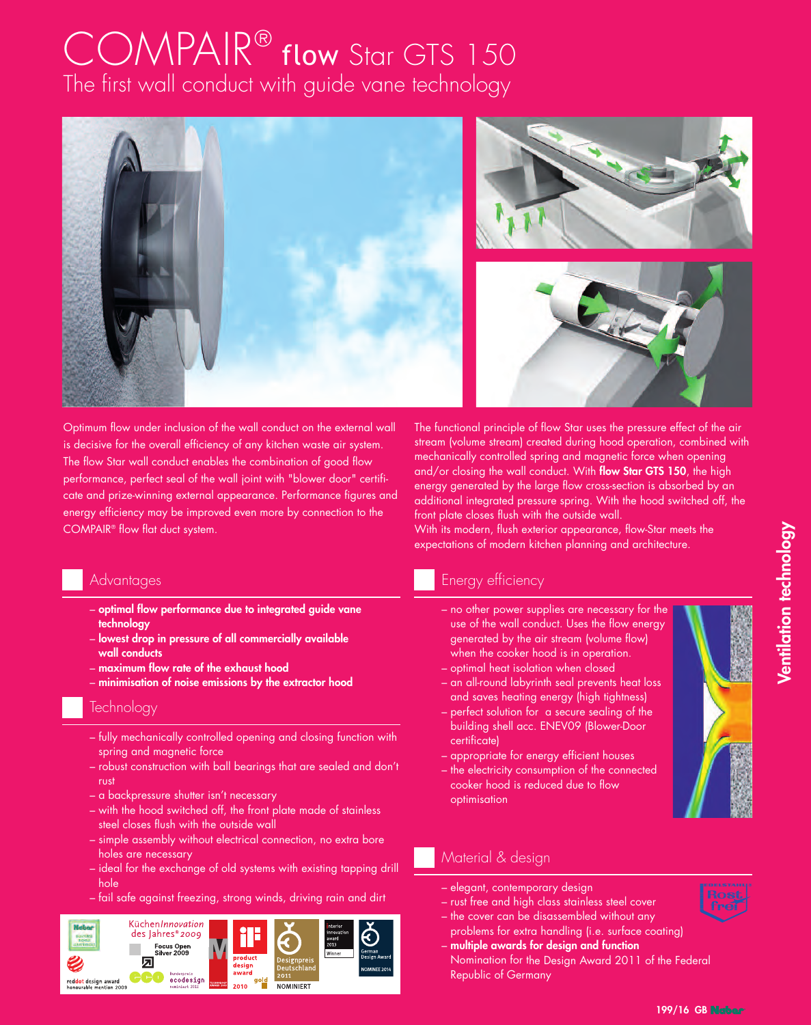# COMPAIR® flow Star GTS 150 The first wall conduct with guide vane technology



Optimum flow under inclusion of the wall conduct on the external wall is decisive for the overall efficiency of any kitchen waste air system. The flow Star wall conduct enables the combination of good flow performance, perfect seal of the wall joint with "blower door" certificate and prize-winning external appearance. Performance figures and energy efficiency may be improved even more by connection to the COMPAIR® flow flat duct system.

#### **Advantages**

- **optimal flow performance due to integrated guide vane technology**
- **lowest drop in pressure of all commercially available wall conducts**
- **maximum flow rate of the exhaust hood**
- **minimisation of noise emissions by the extractor hood**

#### **Technology**

- fully mechanically controlled opening and closing function with spring and magnetic force
- robust construction with ball bearings that are sealed and don't rust
- a backpressure shutter isn't necessary
- with the hood switched off, the front plate made of stainless steel closes flush with the outside wall
- simple assembly without electrical connection, no extra bore holes are necessary
- ideal for the exchange of old systems with existing tapping drill hole
- fail safe against freezing, strong winds, driving rain and dirt



The functional principle of flow Star uses the pressure effect of the air stream (volume stream) created during hood operation, combined with mechanically controlled spring and magnetic force when opening and/or closing the wall conduct. With **flow Star GTS 150**, the high energy generated by the large flow cross-section is absorbed by an additional integrated pressure spring. With the hood switched off, the front plate closes flush with the outside wall.

With its modern, flush exterior appearance, flow-Star meets the expectations of modern kitchen planning and architecture.

## Energy efficiency

- no other power supplies are necessary for the use of the wall conduct. Uses the flow energy generated by the air stream (volume flow) when the cooker hood is in operation.
- optimal heat isolation when closed
- an all-round labyrinth seal prevents heat loss and saves heating energy (high tightness)
- perfect solution for a secure sealing of the building shell acc. ENEV09 (Blower-Door certificate)
- appropriate for energy efficient houses
- the electricity consumption of the connected cooker hood is reduced due to flow optimisation

### Material & design

- elegant, contemporary design
- rust free and high class stainless steel cover
- the cover can be disassembled without any problems for extra handling (i.e. surface coating)
- **multiple awards for design and function** Nomination for the Design Award 2011 of the Federal Republic of Germany